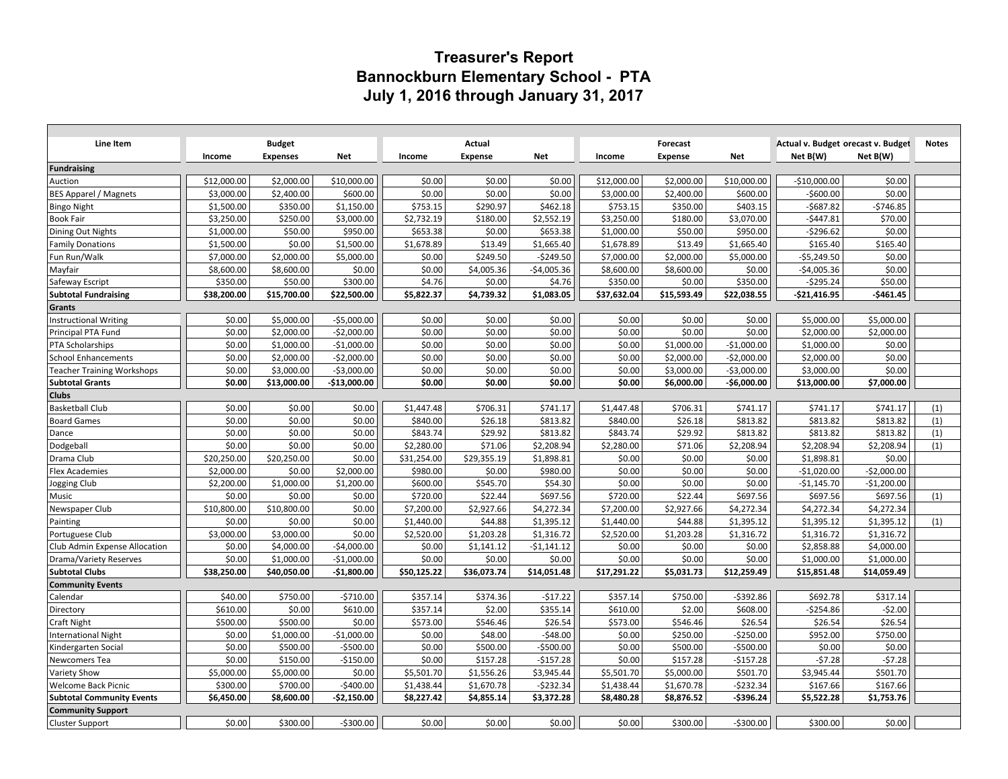## **Treasurer's Report Bannockburn Elementary School - PTA July 1, 2016 through January 31, 2017**

| Line Item                         |             | <b>Budget</b>   |               |             | Actual         |              |             | <b>Forecast</b> |              | Actual v. Budget orecast v. Budget |              | <b>Notes</b> |
|-----------------------------------|-------------|-----------------|---------------|-------------|----------------|--------------|-------------|-----------------|--------------|------------------------------------|--------------|--------------|
|                                   | Income      | <b>Expenses</b> | Net           | Income      | <b>Expense</b> | <b>Net</b>   | Income      | <b>Expense</b>  | <b>Net</b>   | Net B(W)                           | Net B(W)     |              |
| Fundraising                       |             |                 |               |             |                |              |             |                 |              |                                    |              |              |
| Auction                           | \$12,000.00 | \$2,000.00      | \$10,000.00   | \$0.00      | \$0.00         | \$0.00       | \$12,000.00 | \$2,000.00      | \$10,000.00  | $-$10,000.00$                      | \$0.00       |              |
| <b>BES Apparel / Magnets</b>      | \$3,000.00  | \$2,400.00      | \$600.00      | \$0.00      | \$0.00         | \$0.00       | \$3,000.00  | \$2,400.00      | \$600.00     | $-$600.00$                         | \$0.00       |              |
| <b>Bingo Night</b>                | \$1,500.00  | \$350.00        | \$1,150.00    | \$753.15    | \$290.97       | \$462.18     | \$753.15    | \$350.00        | \$403.15     | $-$687.82$                         | $-5746.85$   |              |
| <b>Book Fair</b>                  | \$3,250.00  | \$250.00        | \$3,000.00    | \$2,732.19  | \$180.00       | \$2,552.19   | \$3,250.00  | \$180.00        | \$3,070.00   | $-$447.81$                         | \$70.00      |              |
| Dining Out Nights                 | \$1,000.00  | \$50.00         | \$950.00      | \$653.38    | \$0.00         | \$653.38     | \$1,000.00  | \$50.00         | \$950.00     | $-$296.62$                         | \$0.00       |              |
| <b>Family Donations</b>           | \$1,500.00  | \$0.00          | \$1,500.00    | \$1,678.89  | \$13.49        | \$1,665.40   | \$1,678.89  | \$13.49         | \$1,665.40   | \$165.40                           | \$165.40     |              |
| Fun Run/Walk                      | \$7,000.00  | \$2,000.00      | \$5,000.00    | \$0.00      | \$249.50       | $-5249.50$   | \$7,000.00  | \$2,000.00      | \$5,000.00   | $-55,249.50$                       | \$0.00       |              |
| Mayfair                           | \$8,600.00  | \$8,600.00      | \$0.00        | \$0.00      | \$4,005.36     | $-$4,005.36$ | \$8,600.00  | \$8,600.00      | \$0.00       | $-$4,005.36$                       | \$0.00       |              |
| Safeway Escript                   | \$350.00    | \$50.00         | \$300.00      | \$4.76      | \$0.00         | \$4.76       | \$350.00    | \$0.00          | \$350.00     | $-5295.24$                         | \$50.00      |              |
| <b>Subtotal Fundraising</b>       | \$38,200.00 | \$15,700.00     | \$22,500.00   | \$5,822.37  | \$4,739.32     | \$1,083.05   | \$37,632.04 | \$15,593.49     | \$22,038.55  | $-$21,416.95$                      | $-$461.45$   |              |
| Grants                            |             |                 |               |             |                |              |             |                 |              |                                    |              |              |
| <b>Instructional Writing</b>      | \$0.00      | \$5,000.00      | $-$5,000.00$  | \$0.00      | \$0.00         | \$0.00       | \$0.00      | \$0.00          | \$0.00       | \$5,000.00                         | \$5,000.00   |              |
| Principal PTA Fund                | \$0.00      | \$2,000.00      | $-$2,000.00$  | \$0.00      | \$0.00         | \$0.00       | \$0.00      | \$0.00          | \$0.00       | \$2,000.00                         | \$2,000.00   |              |
| PTA Scholarships                  | \$0.00      | \$1,000.00      | $-$1,000.00$  | \$0.00      | \$0.00         | \$0.00       | \$0.00      | \$1,000.00      | $-$1,000.00$ | \$1,000.00                         | \$0.00       |              |
| <b>School Enhancements</b>        | \$0.00      | \$2,000.00      | $-$2,000.00$  | \$0.00      | \$0.00         | \$0.00       | \$0.00      | \$2,000.00      | $-$2,000.00$ | \$2,000.00                         | \$0.00       |              |
| <b>Teacher Training Workshops</b> | \$0.00      | \$3,000.00      | $-$3,000.00$  | \$0.00      | \$0.00         | \$0.00       | \$0.00      | \$3,000.00      | $-$3,000.00$ | \$3,000.00                         | \$0.00       |              |
| <b>Subtotal Grants</b>            | \$0.00      | \$13,000.00     | $-$13,000.00$ | \$0.00      | \$0.00         | \$0.00       | \$0.00      | \$6,000.00      | $-$6,000.00$ | \$13,000.00                        | \$7,000.00   |              |
| <b>Clubs</b>                      |             |                 |               |             |                |              |             |                 |              |                                    |              |              |
| <b>Basketball Club</b>            | \$0.00      | \$0.00          | \$0.00        | \$1,447.48  | \$706.31       | \$741.17     | \$1,447.48  | \$706.31        | \$741.17     | \$741.17                           | \$741.17     | (1)          |
| <b>Board Games</b>                | \$0.00      | \$0.00          | \$0.00        | \$840.00    | \$26.18        | \$813.82     | \$840.00    | \$26.18         | \$813.82     | \$813.82                           | \$813.82     | (1)          |
| Dance                             | \$0.00      | \$0.00          | \$0.00        | \$843.74    | \$29.92        | \$813.82     | \$843.74    | \$29.92         | \$813.82     | \$813.82                           | \$813.82     | (1)          |
| Dodgeball                         | \$0.00      | \$0.00          | \$0.00        | \$2,280.00  | \$71.06        | \$2,208.94   | \$2,280.00  | \$71.06         | \$2,208.94   | \$2,208.94                         | \$2,208.94   | (1)          |
| Drama Club                        | \$20,250.00 | \$20,250.00     | \$0.00        | \$31,254.00 | \$29,355.19    | \$1,898.81   | \$0.00      | \$0.00          | \$0.00       | \$1,898.81                         | \$0.00       |              |
| <b>Flex Academies</b>             | \$2,000.00  | \$0.00          | \$2,000.00    | \$980.00    | \$0.00         | \$980.00     | \$0.00      | \$0.00          | \$0.00       | $-$1,020.00$                       | $-52,000.00$ |              |
| Jogging Club                      | \$2,200.00  | \$1,000.00      | \$1,200.00    | \$600.00    | \$545.70       | \$54.30      | \$0.00      | \$0.00          | \$0.00       | $-$1,145.70$                       | $-$1,200.00$ |              |
| Music                             | \$0.00      | \$0.00          | \$0.00        | \$720.00    | \$22.44        | \$697.56     | \$720.00    | \$22.44         | \$697.56     | \$697.56                           | \$697.56     | (1)          |
| Newspaper Club                    | \$10,800.00 | \$10,800.00     | \$0.00        | \$7,200.00  | \$2,927.66     | \$4,272.34   | \$7,200.00  | \$2,927.66      | \$4,272.34   | \$4,272.34                         | \$4,272.34   |              |
| Painting                          | \$0.00      | \$0.00          | \$0.00        | \$1,440.00  | \$44.88        | \$1,395.12   | \$1,440.00  | \$44.88         | \$1,395.12   | \$1,395.12                         | \$1,395.12   | (1)          |
| Portuguese Club                   | \$3,000.00  | \$3,000.00      | \$0.00        | \$2,520.00  | \$1,203.28     | \$1,316.72   | \$2,520.00  | \$1,203.28      | \$1,316.72   | \$1,316.72                         | \$1,316.72   |              |
| Club Admin Expense Allocation     | \$0.00      | \$4,000.00      | $-54,000.00$  | \$0.00      | \$1,141.12     | $-$1,141.12$ | \$0.00      | \$0.00          | \$0.00       | \$2,858.88                         | \$4,000.00   |              |
| Drama/Variety Reserves            | \$0.00      | \$1,000.00      | $-$1,000.00$  | \$0.00      | \$0.00         | \$0.00       | \$0.00      | \$0.00          | \$0.00       | \$1,000.00                         | \$1,000.00   |              |
| <b>Subtotal Clubs</b>             | \$38,250.00 | \$40,050.00     | $-$1,800.00$  | \$50,125.22 | \$36,073.74    | \$14,051.48  | \$17,291.22 | \$5,031.73      | \$12,259.49  | \$15,851.48                        | \$14,059.49  |              |
| <b>Community Events</b>           |             |                 |               |             |                |              |             |                 |              |                                    |              |              |
| Calendar                          | \$40.00     | \$750.00        | $-5710.00$    | \$357.14    | \$374.36       | $-$17.22$    | \$357.14    | \$750.00        | $-5392.86$   | \$692.78                           | \$317.14     |              |
| Directory                         | \$610.00    | \$0.00          | \$610.00      | \$357.14    | \$2.00         | \$355.14     | \$610.00    | \$2.00          | \$608.00     | $-$254.86$                         | $-52.00$     |              |
| <b>Craft Night</b>                | \$500.00    | \$500.00        | \$0.00        | \$573.00    | \$546.46       | \$26.54      | \$573.00    | \$546.46        | \$26.54      | \$26.54                            | \$26.54      |              |
| <b>International Night</b>        | \$0.00      | \$1,000.00      | $-$1,000.00$  | \$0.00      | \$48.00        | $-$48.00$    | \$0.00      | \$250.00        | $-$ \$250.00 | \$952.00                           | \$750.00     |              |
| Kindergarten Social               | \$0.00      | \$500.00        | $-$500.00$    | \$0.00      | \$500.00       | $-$500.00$   | \$0.00      | \$500.00        | $-$ \$500.00 | \$0.00                             | \$0.00       |              |
| Newcomers Tea                     | \$0.00      | \$150.00        | $-$150.00$    | \$0.00      | \$157.28       | $-5157.28$   | \$0.00      | \$157.28        | $-5157.28$   | $-57.28$                           | $-57.28$     |              |
| Variety Show                      | \$5,000.00  | \$5,000.00      | \$0.00        | \$5,501.70  | \$1,556.26     | \$3,945.44   | \$5,501.70  | \$5,000.00      | \$501.70     | \$3,945.44                         | \$501.70     |              |
| Welcome Back Picnic               | \$300.00    | \$700.00        | $-$400.00$    | \$1,438.44  | \$1,670.78     | $-$232.34$   | \$1,438.44  | \$1,670.78      | $-5232.34$   | \$167.66                           | \$167.66     |              |
| <b>Subtotal Community Events</b>  | \$6,450.00  | \$8,600.00      | $-52,150.00$  | \$8,227.42  | \$4,855.14     | \$3,372.28   | \$8,480.28  | \$8,876.52      | $-5396.24$   | \$5,522.28                         | \$1,753.76   |              |
| <b>Community Support</b>          |             |                 |               |             |                |              |             |                 |              |                                    |              |              |
| <b>Cluster Support</b>            | \$0.00      | \$300.00        | $-$300.00$    | \$0.00      | \$0.00         | \$0.00       | \$0.00      | \$300.00        | $-5300.00$   | \$300.00                           | \$0.00       |              |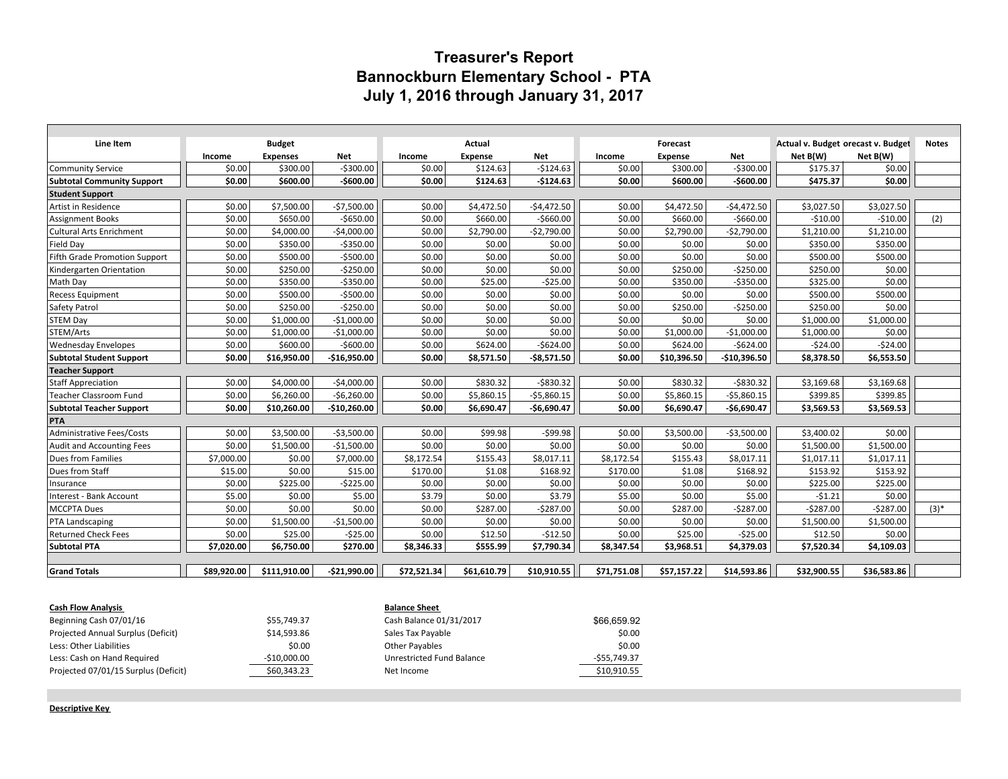## **Treasurer's Report Bannockburn Elementary School - PTA July 1, 2016 through January 31, 2017**

| Line Item                         | <b>Budget</b> |                 |               | Actual      |                |              | Forecast    |                |               | Actual v. Budget orecast v. Budget | <b>Notes</b> |         |
|-----------------------------------|---------------|-----------------|---------------|-------------|----------------|--------------|-------------|----------------|---------------|------------------------------------|--------------|---------|
|                                   | Income        | <b>Expenses</b> | Net           | Income      | <b>Expense</b> | <b>Net</b>   | Income      | <b>Expense</b> | <b>Net</b>    | Net B(W)                           | Net B(W)     |         |
| Community Service                 | \$0.00        | \$300.00        | $-5300.00$    | \$0.00      | \$124.63       | $-5124.63$   | \$0.00      | \$300.00       | $-5300.00$    | \$175.37                           | \$0.00       |         |
| <b>Subtotal Community Support</b> | \$0.00        | \$600.00        | $-$600.00$    | \$0.00      | \$124.63       | $-$124.63$   | \$0.00      | \$600.00       | $-$600.00$    | \$475.37                           | \$0.00       |         |
| <b>Student Support</b>            |               |                 |               |             |                |              |             |                |               |                                    |              |         |
| Artist in Residence               | \$0.00        | \$7,500.00      | $-57,500.00$  | \$0.00      | \$4,472.50     | $-54,472.50$ | \$0.00      | \$4,472.50     | $-54,472.50$  | \$3,027.50                         | \$3,027.50   |         |
| <b>Assignment Books</b>           | \$0.00        | \$650.00        | $-5650.00$    | \$0.00      | \$660.00       | $-5660.00$   | \$0.00      | \$660.00       | $-5660.00$    | $-$10.00$                          | $-510.00$    | (2)     |
| Cultural Arts Enrichment          | \$0.00        | \$4,000.00      | $-$4,000.00$  | \$0.00      | \$2,790.00     | $-52,790.00$ | \$0.00      | \$2,790.00     | $-52,790.00$  | \$1,210.00                         | \$1,210.00   |         |
| Field Day                         | \$0.00        | \$350.00        | $-5350.00$    | \$0.00      | \$0.00         | \$0.00       | \$0.00      | \$0.00         | \$0.00        | \$350.00                           | \$350.00     |         |
| Fifth Grade Promotion Support     | \$0.00        | \$500.00        | $-5500.00$    | \$0.00      | \$0.00         | \$0.00       | \$0.00      | \$0.00         | \$0.00        | \$500.00                           | \$500.00     |         |
| Kindergarten Orientation          | \$0.00        | \$250.00        | $-$250.00$    | \$0.00      | \$0.00         | \$0.00       | \$0.00      | \$250.00       | $-$ \$250.00  | \$250.00                           | \$0.00       |         |
| Math Day                          | \$0.00        | \$350.00        | $-5350.00$    | \$0.00      | \$25.00        | $-525.00$    | \$0.00      | \$350.00       | $-5350.00$    | \$325.00                           | \$0.00       |         |
| <b>Recess Equipment</b>           | \$0.00        | \$500.00        | $-$500.00$    | \$0.00      | \$0.00         | \$0.00       | \$0.00      | \$0.00         | \$0.00        | \$500.00                           | \$500.00     |         |
| Safety Patrol                     | \$0.00        | \$250.00        | $-5250.00$    | \$0.00      | \$0.00         | \$0.00       | \$0.00      | \$250.00       | $-5250.00$    | \$250.00                           | \$0.00       |         |
| <b>STEM Day</b>                   | \$0.00        | \$1,000.00      | $-$1,000.00$  | \$0.00      | \$0.00         | \$0.00       | \$0.00      | \$0.00         | \$0.00        | \$1,000.00                         | \$1,000.00   |         |
| STEM/Arts                         | \$0.00        | \$1,000.00      | $-$1,000.00$  | \$0.00      | \$0.00         | \$0.00       | \$0.00      | \$1,000.00     | $-$1,000.00$  | \$1,000.00                         | \$0.00       |         |
| <b>Wednesday Envelopes</b>        | \$0.00        | \$600.00        | $-$600.00$    | \$0.00      | \$624.00       | $-5624.00$   | \$0.00      | \$624.00       | $-5624.00$    | $-524.00$                          | $-524.00$    |         |
| <b>Subtotal Student Support</b>   | \$0.00        | \$16,950.00     | $-$16,950.00$ | \$0.00      | \$8.571.50     | $-58,571.50$ | \$0.00      | \$10,396.50    | $-$10,396.50$ | \$8,378.50                         | \$6,553.50   |         |
| <b>Teacher Support</b>            |               |                 |               |             |                |              |             |                |               |                                    |              |         |
| <b>Staff Appreciation</b>         | \$0.00        | \$4,000.00      | $-$4,000.00$  | \$0.00      | \$830.32       | $-5830.32$   | \$0.00      | \$830.32       | $-5830.32$    | \$3,169.68                         | \$3,169.68   |         |
| <b>Teacher Classroom Fund</b>     | \$0.00        | \$6.260.00      | $-56,260.00$  | \$0.00      | \$5,860.15     | $-55,860.15$ | \$0.00      | \$5,860.15     | $-55,860.15$  | \$399.85                           | \$399.85     |         |
| <b>Subtotal Teacher Support</b>   | \$0.00        | \$10,260.00     | $-$10,260.00$ | \$0.00      | \$6,690.47     | $-$6,690.47$ | \$0.00      | \$6,690.47     | $-$6,690.47$  | \$3,569.53                         | \$3,569.53   |         |
| PTA                               |               |                 |               |             |                |              |             |                |               |                                    |              |         |
| Administrative Fees/Costs         | \$0.00        | \$3,500.00      | $-53,500.00$  | \$0.00      | \$99.98        | $-599.98$    | \$0.00      | \$3,500.00     | $-53,500.00$  | \$3,400.02                         | \$0.00       |         |
| <b>Audit and Accounting Fees</b>  | \$0.00        | \$1,500.00      | $-51,500.00$  | \$0.00      | \$0.00         | \$0.00       | \$0.00      | \$0.00         | \$0.00        | \$1,500.00                         | \$1,500.00   |         |
| Dues from Families                | \$7,000.00    | \$0.00          | \$7,000.00    | \$8,172.54  | \$155.43       | \$8,017.11   | \$8,172.54  | \$155.43       | \$8,017.11    | \$1,017.11                         | \$1,017.11   |         |
| Dues from Staff                   | \$15.00       | \$0.00          | \$15.00       | \$170.00    | \$1.08         | \$168.92     | \$170.00    | \$1.08         | \$168.92      | \$153.92                           | \$153.92     |         |
| Insurance                         | \$0.00        | \$225.00        | $-5225.00$    | \$0.00      | \$0.00         | \$0.00       | \$0.00      | \$0.00         | \$0.00        | \$225.00                           | \$225.00     |         |
| Interest - Bank Account           | \$5.00        | \$0.00          | \$5.00        | \$3.79      | \$0.00         | \$3.79       | \$5.00      | \$0.00         | \$5.00        | $-51.21$                           | \$0.00       |         |
| MCCPTA Dues                       | \$0.00        | \$0.00          | \$0.00        | \$0.00      | \$287.00       | $-5287.00$   | \$0.00      | \$287.00       | $-5287.00$    | $-5287.00$                         | $-5287.00$   | $(3)^*$ |
| <b>PTA Landscaping</b>            | \$0.00        | \$1,500.00      | $-$1,500.00$  | \$0.00      | \$0.00         | \$0.00       | \$0.00      | \$0.00         | \$0.00        | \$1,500.00                         | \$1,500.00   |         |
| <b>Returned Check Fees</b>        | \$0.00        | \$25.00         | $-525.00$     | \$0.00      | \$12.50        | $-512.50$    | \$0.00      | \$25.00        | $-525.00$     | \$12.50                            | \$0.00       |         |
| <b>Subtotal PTA</b>               | \$7.020.00    | \$6,750.00      | \$270.00      | \$8,346.33  | \$555.99       | \$7,790.34   | \$8,347.54  | \$3,968.51     | \$4,379.03    | \$7,520.34                         | \$4,109.03   |         |
|                                   |               |                 |               |             |                |              |             |                |               |                                    |              |         |
| <b>Grand Totals</b>               | \$89.920.00   | \$111.910.00    | $-521.990.00$ | \$72.521.34 | \$61.610.79    | \$10.910.55  | \$71.751.08 | \$57.157.22    | \$14.593.86   | \$32.900.55                        | \$36,583.86  |         |
|                                   |               |                 |               |             |                |              |             |                |               |                                    |              |         |

| <b>Cash Flow Analysis</b>            |               | <b>Balance Sheet</b>      |              |  |  |  |  |
|--------------------------------------|---------------|---------------------------|--------------|--|--|--|--|
| Beginning Cash 07/01/16              | \$55,749.37   | Cash Balance 01/31/2017   | \$66,659.92  |  |  |  |  |
| Projected Annual Surplus (Deficit)   | \$14,593.86   | Sales Tax Payable         | \$0.00       |  |  |  |  |
| Less: Other Liabilities              | \$0.00        | Other Payables            | \$0.00       |  |  |  |  |
| Less: Cash on Hand Required          | $-$10,000.00$ | Unrestricted Fund Balance | -\$55,749.37 |  |  |  |  |
| Projected 07/01/15 Surplus (Deficit) | \$60,343.23   | Net Income                | \$10,910.55  |  |  |  |  |

**Descriptive Key**